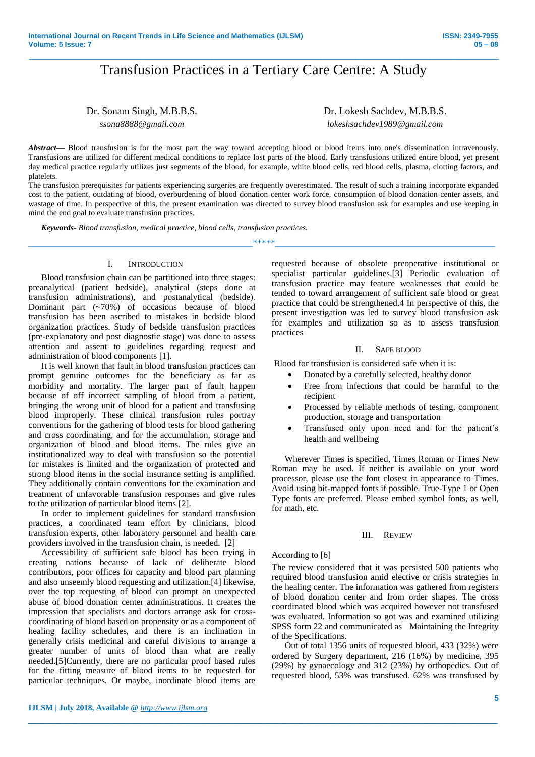# **\_\_\_\_\_\_\_\_\_\_\_\_\_\_\_\_\_\_\_\_\_\_\_\_\_\_\_\_\_\_\_\_\_\_\_\_\_\_\_\_\_\_\_\_\_\_\_\_\_\_\_\_\_\_\_\_\_\_\_\_\_\_\_\_\_\_\_\_\_\_\_\_\_\_\_\_\_\_\_\_\_\_\_\_\_\_\_\_\_\_\_\_\_\_\_** Transfusion Practices in a Tertiary Care Centre: A Study

Dr. Sonam Singh, M.B.B.S. *ssona8888@gmail.com*

Dr. Lokesh Sachdev, M.B.B.S. *lokeshsachdev1989@gmail.com*

*Abstract***—** Blood transfusion is for the most part the way toward accepting blood or blood items into one's dissemination intravenously. Transfusions are utilized for different medical conditions to replace lost parts of the blood. Early transfusions utilized entire blood, yet present day medical practice regularly utilizes just segments of the blood, for example, white blood cells, red blood cells, plasma, clotting factors, and platelets.

The transfusion prerequisites for patients experiencing surgeries are frequently overestimated. The result of such a training incorporate expanded cost to the patient, outdating of blood, overburdening of blood donation center work force, consumption of blood donation center assets, and wastage of time. In perspective of this, the present examination was directed to survey blood transfusion ask for examples and use keeping in mind the end goal to evaluate transfusion practices.

\_\_\_\_\_\_\_\_\_\_\_\_\_\_\_\_\_\_\_\_\_\_\_\_\_\_\_\_\_\_\_\_\_\_\_\_\_\_\_\_\_\_\_\_\_\_\_\_\_\_\*\*\*\*\*\_\_\_\_\_\_\_\_\_\_\_\_\_\_\_\_\_\_\_\_\_\_\_\_\_\_\_\_\_\_\_\_\_\_\_\_\_\_\_\_\_\_\_\_\_\_\_\_\_

*Keywords- Blood transfusion, medical practice, blood cells, transfusion practices.*

#### I. INTRODUCTION

Blood transfusion chain can be partitioned into three stages: preanalytical (patient bedside), analytical (steps done at transfusion administrations), and postanalytical (bedside). Dominant part (~70%) of occasions because of blood transfusion has been ascribed to mistakes in bedside blood organization practices. Study of bedside transfusion practices (pre-explanatory and post diagnostic stage) was done to assess attention and assent to guidelines regarding request and administration of blood components [1].

It is well known that fault in blood transfusion practices can prompt genuine outcomes for the beneficiary as far as morbidity and mortality. The larger part of fault happen because of off incorrect sampling of blood from a patient, bringing the wrong unit of blood for a patient and transfusing blood improperly. These clinical transfusion rules portray conventions for the gathering of blood tests for blood gathering and cross coordinating, and for the accumulation, storage and organization of blood and blood items. The rules give an institutionalized way to deal with transfusion so the potential for mistakes is limited and the organization of protected and strong blood items in the social insurance setting is amplified. They additionally contain conventions for the examination and treatment of unfavorable transfusion responses and give rules to the utilization of particular blood items [2].

In order to implement guidelines for standard transfusion practices, a coordinated team effort by clinicians, blood transfusion experts, other laboratory personnel and health care providers involved in the transfusion chain, is needed. [2]

Accessibility of sufficient safe blood has been trying in creating nations because of lack of deliberate blood contributors, poor offices for capacity and blood part planning and also unseemly blood requesting and utilization.[4] likewise, over the top requesting of blood can prompt an unexpected abuse of blood donation center administrations. It creates the impression that specialists and doctors arrange ask for crosscoordinating of blood based on propensity or as a component of healing facility schedules, and there is an inclination in generally crisis medicinal and careful divisions to arrange a greater number of units of blood than what are really needed.[5]Currently, there are no particular proof based rules for the fitting measure of blood items to be requested for particular techniques. Or maybe, inordinate blood items are

requested because of obsolete preoperative institutional or specialist particular guidelines.[3] Periodic evaluation of transfusion practice may feature weaknesses that could be tended to toward arrangement of sufficient safe blood or great practice that could be strengthened.4 In perspective of this, the present investigation was led to survey blood transfusion ask for examples and utilization so as to assess transfusion practices

#### II. SAFE BLOOD

Blood for transfusion is considered safe when it is:

- Donated by a carefully selected, healthy donor
- Free from infections that could be harmful to the recipient
- Processed by reliable methods of testing, component production, storage and transportation
- Transfused only upon need and for the patient's health and wellbeing

Wherever Times is specified, Times Roman or Times New Roman may be used. If neither is available on your word processor, please use the font closest in appearance to Times. Avoid using bit-mapped fonts if possible. True-Type 1 or Open Type fonts are preferred. Please embed symbol fonts, as well, for math, etc.

#### III. REVIEW

# According to [6]

**\_\_\_\_\_\_\_\_\_\_\_\_\_\_\_\_\_\_\_\_\_\_\_\_\_\_\_\_\_\_\_\_\_\_\_\_\_\_\_\_\_\_\_\_\_\_\_\_\_\_\_\_\_\_\_\_\_\_\_\_\_\_\_\_\_\_\_\_\_\_\_\_\_\_\_\_\_\_\_\_\_\_\_\_\_\_\_**

The review considered that it was persisted 500 patients who required blood transfusion amid elective or crisis strategies in the healing center. The information was gathered from registers of blood donation center and from order shapes. The cross coordinated blood which was acquired however not transfused was evaluated. Information so got was and examined utilizing SPSS form 22 and communicated as Maintaining the Integrity of the Specifications.

Out of total 1356 units of requested blood, 433 (32%) were ordered by Surgery department, 216 (16%) by medicine, 395 (29%) by gynaecology and 312 (23%) by orthopedics. Out of requested blood, 53% was transfused. 62% was transfused by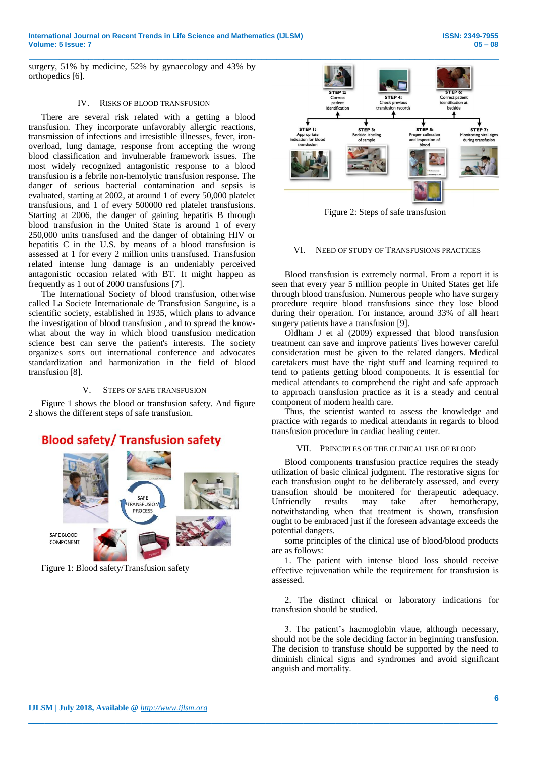surgery, 51% by medicine, 52% by gynaecology and 43% by orthopedics [6].

### IV. RISKS OF BLOOD TRANSFUSION

There are several risk related with a getting a blood transfusion. They incorporate unfavorably allergic reactions, transmission of infections and irresistible illnesses, fever, ironoverload, lung damage, response from accepting the wrong blood classification and invulnerable framework issues. The most widely recognized antagonistic response to a blood transfusion is a febrile non-hemolytic transfusion response. The danger of serious bacterial contamination and sepsis is evaluated, starting at 2002, at around 1 of every 50,000 platelet transfusions, and 1 of every 500000 red platelet transfusions. Starting at 2006, the danger of gaining hepatitis B through blood transfusion in the United State is around 1 of every 250,000 units transfused and the danger of obtaining HIV or hepatitis C in the U.S. by means of a blood transfusion is assessed at 1 for every 2 million units transfused. Transfusion related intense lung damage is an undeniably perceived antagonistic occasion related with BT. It might happen as frequently as 1 out of 2000 transfusions [7].

The International Society of blood transfusion, otherwise called La Societe Internationale de Transfusion Sanguine, is a scientific society, established in 1935, which plans to advance the investigation of blood transfusion , and to spread the knowwhat about the way in which blood transfusion medication science best can serve the patient's interests. The society organizes sorts out international conference and advocates standardization and harmonization in the field of blood transfusion [8].

#### V. STEPS OF SAFE TRANSFUSION

Figure 1 shows the blood or transfusion safety. And figure 2 shows the different steps of safe transfusion.



Figure 1: Blood safety/Transfusion safety



Figure 2: Steps of safe transfusion

#### VI. NEED OF STUDY OF TRANSFUSIONS PRACTICES

Blood transfusion is extremely normal. From a report it is seen that every year 5 million people in United States get life through blood transfusion. Numerous people who have surgery procedure require blood transfusions since they lose blood during their operation. For instance, around 33% of all heart surgery patients have a transfusion [9].

Oldham J et al (2009) expressed that blood transfusion treatment can save and improve patients' lives however careful consideration must be given to the related dangers. Medical caretakers must have the right stuff and learning required to tend to patients getting blood components. It is essential for medical attendants to comprehend the right and safe approach to approach transfusion practice as it is a steady and central component of modern health care.

Thus, the scientist wanted to assess the knowledge and practice with regards to medical attendants in regards to blood transfusion procedure in cardiac healing center.

#### VII. PRINCIPLES OF THE CLINICAL USE OF BLOOD

Blood components transfusion practice requires the steady utilization of basic clinical judgment. The restorative signs for each transfusion ought to be deliberately assessed, and every transufion should be monitered for therapeutic adequacy. Unfriendly results may take after hemotherapy, notwithstanding when that treatment is shown, transfusion ought to be embraced just if the foreseen advantage exceeds the potential dangers.

some principles of the clinical use of blood/blood products are as follows:

1. The patient with intense blood loss should receive effective rejuvenation while the requirement for transfusion is assessed.

2. The distinct clinical or laboratory indications for transfusion should be studied.

3. The patient's haemoglobin vlaue, although necessary, should not be the sole deciding factor in beginning transfusion. The decision to transfuse should be supported by the need to diminish clinical signs and syndromes and avoid significant anguish and mortality.

**\_\_\_\_\_\_\_\_\_\_\_\_\_\_\_\_\_\_\_\_\_\_\_\_\_\_\_\_\_\_\_\_\_\_\_\_\_\_\_\_\_\_\_\_\_\_\_\_\_\_\_\_\_\_\_\_\_\_\_\_\_\_\_\_\_\_\_\_\_\_\_\_\_\_\_\_\_\_\_\_\_\_\_\_\_\_\_**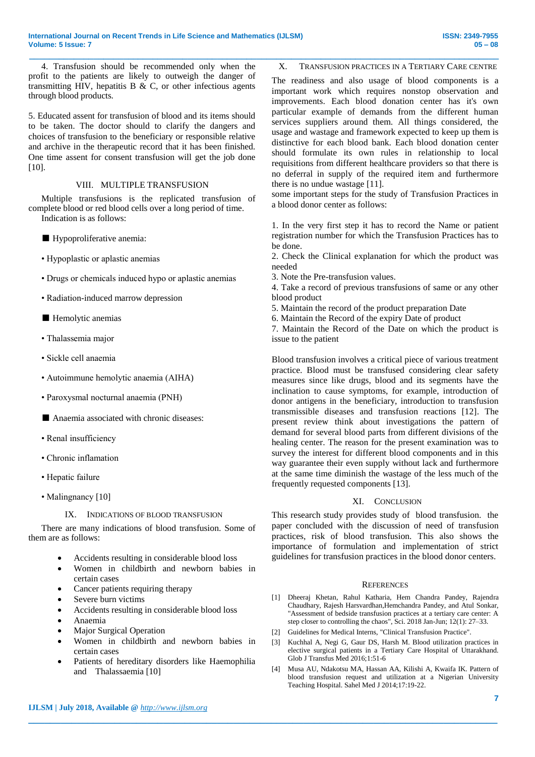**\_\_\_\_\_\_\_\_\_\_\_\_\_\_\_\_\_\_\_\_\_\_\_\_\_\_\_\_\_\_\_\_\_\_\_\_\_\_\_\_\_\_\_\_\_\_\_\_\_\_\_\_\_\_\_\_\_\_\_\_\_\_\_\_\_\_\_\_\_\_\_\_\_\_\_\_\_\_\_\_\_\_\_\_\_\_\_\_\_\_\_\_\_\_\_**

4. Transfusion should be recommended only when the profit to the patients are likely to outweigh the danger of transmitting HIV, hepatitis B  $\&$  C, or other infectious agents through blood products.

5. Educated assent for transfusion of blood and its items should to be taken. The doctor should to clarify the dangers and choices of transfusion to the beneficiary or responsible relative and archive in the therapeutic record that it has been finished. One time assent for consent transfusion will get the job done [10].

# VIII. MULTIPLE TRANSFUSION

Multiple transfusions is the replicated transfusion of complete blood or red blood cells over a long period of time. Indication is as follows:

■ Hypoproliferative anemia:

- Hypoplastic or aplastic anemias
- Drugs or chemicals induced hypo or aplastic anemias
- Radiation-induced marrow depression
- Hemolytic anemias
- Thalassemia major
- Sickle cell anaemia
- Autoimmune hemolytic anaemia (AIHA)
- Paroxysmal nocturnal anaemia (PNH)
- Anaemia associated with chronic diseases:
- Renal insufficiency
- Chronic inflamation
- Hepatic failure
- Malingnancy [10]

# IX. INDICATIONS OF BLOOD TRANSFUSION

There are many indications of blood transfusion. Some of them are as follows:

- Accidents resulting in considerable blood loss
- Women in childbirth and newborn babies in certain cases
- Cancer patients requiring therapy
- Severe burn victims
- Accidents resulting in considerable blood loss
- Anaemia
- Major Surgical Operation
- Women in childbirth and newborn babies in certain cases
- Patients of hereditary disorders like Haemophilia and Thalassaemia [10]

**\_\_\_\_\_\_\_\_\_\_\_\_\_\_\_\_\_\_\_\_\_\_\_\_\_\_\_\_\_\_\_\_\_\_\_\_\_\_\_\_\_\_\_\_\_\_\_\_\_\_\_\_\_\_\_\_\_\_\_\_\_\_\_\_\_\_\_\_\_\_\_\_\_\_\_\_\_\_\_\_\_\_\_\_\_\_\_**

# X. TRANSFUSION PRACTICES IN A TERTIARY CARE CENTRE

The readiness and also usage of blood components is a important work which requires nonstop observation and improvements. Each blood donation center has it's own particular example of demands from the different human services suppliers around them. All things considered, the usage and wastage and framework expected to keep up them is distinctive for each blood bank. Each blood donation center should formulate its own rules in relationship to local requisitions from different healthcare providers so that there is no deferral in supply of the required item and furthermore there is no undue wastage [11].

some important steps for the study of Transfusion Practices in a blood donor center as follows:

1. In the very first step it has to record the Name or patient registration number for which the Transfusion Practices has to be done.

2. Check the Clinical explanation for which the product was needed

- 3. Note the Pre-transfusion values.
- 4. Take a record of previous transfusions of same or any other blood product
- 5. Maintain the record of the product preparation Date
- 6. Maintain the Record of the expiry Date of product

7. Maintain the Record of the Date on which the product is issue to the patient

Blood transfusion involves a critical piece of various treatment practice. Blood must be transfused considering clear safety measures since like drugs, blood and its segments have the inclination to cause symptoms, for example, introduction of donor antigens in the beneficiary, introduction to transfusion transmissible diseases and transfusion reactions [12]. The present review think about investigations the pattern of demand for several blood parts from different divisions of the healing center. The reason for the present examination was to survey the interest for different blood components and in this way guarantee their even supply without lack and furthermore at the same time diminish the wastage of the less much of the frequently requested components [13].

# XI. CONCLUSION

This research study provides study of blood transfusion. the paper concluded with the discussion of need of transfusion practices, risk of blood transfusion. This also shows the importance of formulation and implementation of strict guidelines for transfusion practices in the blood donor centers.

# **REFERENCES**

- [1] Dheeraj Khetan, Rahul Katharia, Hem Chandra Pandey, Rajendra Chaudhary, Rajesh Harsvardhan,Hemchandra Pandey, and Atul Sonkar, "Assessment of bedside transfusion practices at a tertiary care center: A step closer to controlling the chaos", Sci. 2018 Jan-Jun; 12(1): 27–33.
- [2] Guidelines for Medical Interns, "Clinical Transfusion Practice".
- [3] Kuchhal A, Negi G, Gaur DS, Harsh M. Blood utilization practices in elective surgical patients in a Tertiary Care Hospital of Uttarakhand. Glob J Transfus Med 2016;1:51-6
- [4] Musa AU, Ndakotsu MA, Hassan AA, Kilishi A, Kwaifa IK. Pattern of blood transfusion request and utilization at a Nigerian University Teaching Hospital. Sahel Med J 2014;17:19-22.